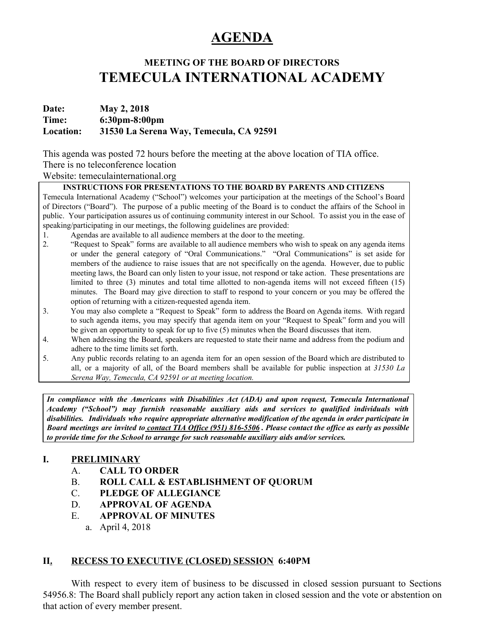# **AGENDA**

## **MEETING OF THE BOARD OF DIRECTORS TEMECULA INTERNATIONAL ACADEMY**

## **Date: May 2, 2018 Time: 6:30pm-8:00pm Location: 31530 La Serena Way, Temecula, CA 92591**

This agenda was posted 72 hours before the meeting at the above location of TIA office.

## There is no teleconference location

## Website: temeculainternational.org

## **INSTRUCTIONS FOR PRESENTATIONS TO THE BOARD BY PARENTS AND CITIZENS**

Temecula International Academy ("School") welcomes your participation at the meetings of the School's Board of Directors ("Board"). The purpose of a public meeting of the Board is to conduct the affairs of the School in public. Your participation assures us of continuing community interest in our School. To assist you in the ease of speaking/participating in our meetings, the following guidelines are provided:

- 1. Agendas are available to all audience members at the door to the meeting.
- 2. "Request to Speak" forms are available to all audience members who wish to speak on any agenda items or under the general category of "Oral Communications." "Oral Communications" is set aside for members of the audience to raise issues that are not specifically on the agenda. However, due to public meeting laws, the Board can only listen to your issue, not respond or take action. These presentations are limited to three (3) minutes and total time allotted to non-agenda items will not exceed fifteen (15) minutes. The Board may give direction to staff to respond to your concern or you may be offered the option of returning with a citizen-requested agenda item.
- 3. You may also complete a "Request to Speak" form to address the Board on Agenda items. With regard to such agenda items, you may specify that agenda item on your "Request to Speak" form and you will be given an opportunity to speak for up to five (5) minutes when the Board discusses that item.
- 4. When addressing the Board, speakers are requested to state their name and address from the podium and adhere to the time limits set forth.
- 5. Any public records relating to an agenda item for an open session of the Board which are distributed to all, or a majority of all, of the Board members shall be available for public inspection at *31530 La Serena Way, Temecula, CA 92591 or at meeting location.*

*In compliance with the Americans with Disabilities Act (ADA) and upon request, Temecula International Academy ("School") may furnish reasonable auxiliary aids and services to qualified individuals with disabilities. Individuals who require appropriate alternative modification of the agenda in order participate in* Board meetings are invited to contact TIA Office (951) 816-5506. Please contact the office as early as possible *to provide time for the School to arrange for such reasonable auxiliary aids and/or services.*

## **I. PRELIMINARY**

- A. **CALL TO ORDER**
- B. **ROLL CALL & ESTABLISHMENT OF QUORUM**
- C. **PLEDGE OF ALLEGIANCE**
- D. **APPROVAL OF AGENDA**
- E. **APPROVAL OF MINUTES**
	- a. April 4, 2018

## **II. RECESS TO EXECUTIVE (CLOSED) SESSION 6:40PM**

With respect to every item of business to be discussed in closed session pursuant to Sections 54956.8: The Board shall publicly report any action taken in closed session and the vote or abstention on that action of every member present.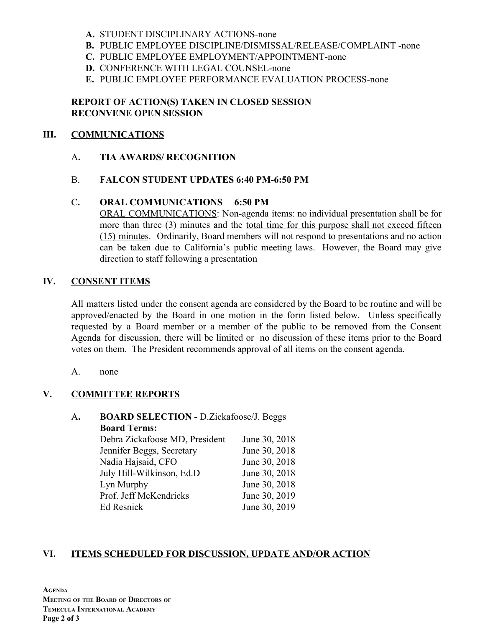- **A.** STUDENT DISCIPLINARY ACTIONS-none
- **B.** PUBLIC EMPLOYEE DISCIPLINE/DISMISSAL/RELEASE/COMPLAINT -none
- **C.** PUBLIC EMPLOYEE EMPLOYMENT/APPOINTMENT-none
- **D.** CONFERENCE WITH LEGAL COUNSEL-none
- **E.** PUBLIC EMPLOYEE PERFORMANCE EVALUATION PROCESS-none

## **REPORT OF ACTION(S) TAKEN IN CLOSED SESSION RECONVENE OPEN SESSION**

## **III. COMMUNICATIONS**

A**. TIA AWARDS/ RECOGNITION**

#### B. **FALCON STUDENT UPDATES 6:40 PM-6:50 PM**

#### C**. ORAL COMMUNICATIONS 6:50 PM**

ORAL COMMUNICATIONS: Non-agenda items: no individual presentation shall be for more than three (3) minutes and the total time for this purpose shall not exceed fifteen (15) minutes. Ordinarily, Board members will not respond to presentations and no action can be taken due to California's public meeting laws. However, the Board may give direction to staff following a presentation

## **IV. CONSENT ITEMS**

All matters listed under the consent agenda are considered by the Board to be routine and will be approved/enacted by the Board in one motion in the form listed below. Unless specifically requested by a Board member or a member of the public to be removed from the Consent Agenda for discussion, there will be limited or no discussion of these items prior to the Board votes on them. The President recommends approval of all items on the consent agenda.

#### A. none

## **V. COMMITTEE REPORTS**

## A**. BOARD SELECTION -** D.Zickafoose/J. Beggs **Board Terms:**

| Debra Zickafoose MD, President | June 30, 2018 |
|--------------------------------|---------------|
| Jennifer Beggs, Secretary      | June 30, 2018 |
| Nadia Hajsaid, CFO             | June 30, 2018 |
| July Hill-Wilkinson, Ed.D      | June 30, 2018 |
| Lyn Murphy                     | June 30, 2018 |
| Prof. Jeff McKendricks         | June 30, 2019 |
| Ed Resnick                     | June 30, 2019 |

## **VI. ITEMS SCHEDULED FOR DISCUSSION, UPDATE AND/OR ACTION**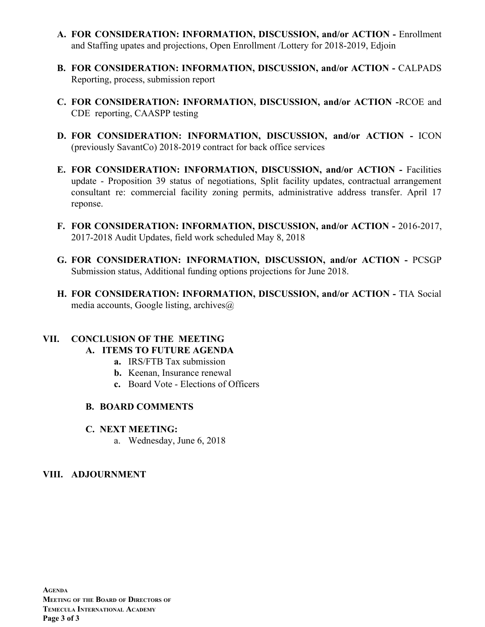- **A. FOR CONSIDERATION: INFORMATION, DISCUSSION, and/or ACTION -** Enrollment and Staffing upates and projections, Open Enrollment /Lottery for 2018-2019, Edjoin
- **B. FOR CONSIDERATION: INFORMATION, DISCUSSION, and/or ACTION -** CALPADS Reporting, process, submission report
- **C. FOR CONSIDERATION: INFORMATION, DISCUSSION, and/or ACTION -**RCOE and CDE reporting, CAASPP testing
- **D. FOR CONSIDERATION: INFORMATION, DISCUSSION, and/or ACTION -** ICON (previously SavantCo) 2018-2019 contract for back office services
- **E. FOR CONSIDERATION: INFORMATION, DISCUSSION, and/or ACTION -** Facilities update - Proposition 39 status of negotiations, Split facility updates, contractual arrangement consultant re: commercial facility zoning permits, administrative address transfer. April 17 reponse.
- **F. FOR CONSIDERATION: INFORMATION, DISCUSSION, and/or ACTION -** 2016-2017, 2017-2018 Audit Updates, field work scheduled May 8, 2018
- **G. FOR CONSIDERATION: INFORMATION, DISCUSSION, and/or ACTION -** PCSGP Submission status, Additional funding options projections for June 2018.
- **H. FOR CONSIDERATION: INFORMATION, DISCUSSION, and/or ACTION -** TIA Social media accounts, Google listing, archives $\omega$

# **VII. CONCLUSION OF THE MEETING**

- **A. ITEMS TO FUTURE AGENDA**
	- **a.** IRS/FTB Tax submission
	- **b.** Keenan, Insurance renewal
	- **c.** Board Vote Elections of Officers

## **B. BOARD COMMENTS**

- **C. NEXT MEETING:**
	- a. Wednesday, June 6, 2018

## **VIII. ADJOURNMENT**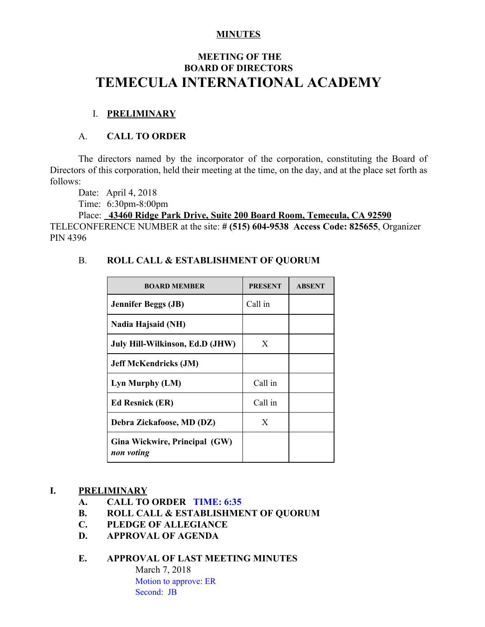## **MINUTES**

## **MEETING OF THE BOARD OF DIRECTORS TEMECULA INTERNATIONAL ACADEMY**

## I. **PRELIMINARY**

## A. **CALL TO ORDER**

The directors named by the incorporator of the corporation, constituting the Board of Directors of this corporation, held their meeting at the time, on the day, and at the place set forth as follows:

Date: April 4, 2018

Time: 6:30pm-8:00pm

Place: **43460 Ridge Park Drive, Suite 200 Board Room, Temecula, CA 92590** TELECONFERENCE NUMBER at the site: **# (515) 604-9538 Access Code: 825655**, Organizer PIN 4396

## B. **ROLL CALL & ESTABLISHMENT OF QUORUM**

| <b>BOARD MEMBER</b>                         | <b>PRESENT</b> | <b>ABSENT</b> |
|---------------------------------------------|----------------|---------------|
| <b>Jennifer Beggs (JB)</b>                  | Call in        |               |
| Nadia Hajsaid (NH)                          |                |               |
| July Hill-Wilkinson, Ed.D (JHW)             | X              |               |
| <b>Jeff McKendricks (JM)</b>                |                |               |
| Lyn Murphy (LM)                             | Call in        |               |
| <b>Ed Resnick (ER)</b>                      | Call in        |               |
| Debra Zickafoose, MD (DZ)                   | X              |               |
| Gina Wickwire, Principal (GW)<br>non voting |                |               |

## **I. PRELIMINARY**

- **A. CALL TO ORDER TIME: 6:35**
- **B. ROLL CALL & ESTABLISHMENT OF QUORUM**
- **C. PLEDGE OF ALLEGIANCE**
- **D. APPROVAL OF AGENDA**

## **E. APPROVAL OF LAST MEETING MINUTES**

March 7, 2018 Motion to approve: ER Second: JB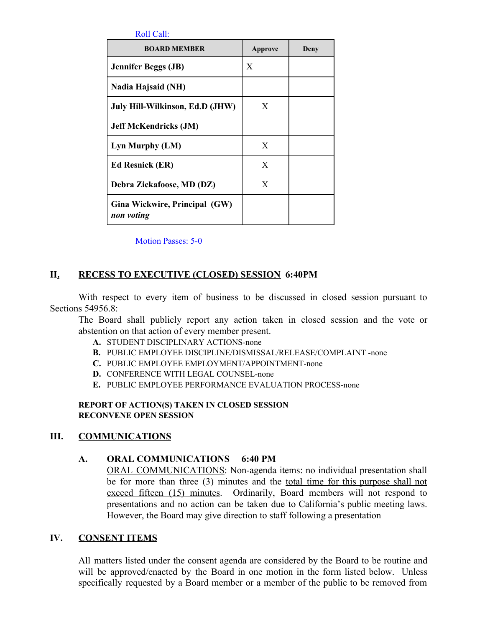| Roll | ∵all∶ |  |
|------|-------|--|
|      |       |  |

| <b>BOARD MEMBER</b>                         | Approve | Deny |
|---------------------------------------------|---------|------|
| <b>Jennifer Beggs (JB)</b>                  | X       |      |
| Nadia Hajsaid (NH)                          |         |      |
| July Hill-Wilkinson, Ed.D (JHW)             | X       |      |
| <b>Jeff McKendricks (JM)</b>                |         |      |
| Lyn Murphy (LM)                             | X       |      |
| <b>Ed Resnick (ER)</b>                      | X       |      |
| Debra Zickafoose, MD (DZ)                   | X       |      |
| Gina Wickwire, Principal (GW)<br>non voting |         |      |

Motion Passes: 5-0

## **II. RECESS TO EXECUTIVE (CLOSED) SESSION 6:40PM**

With respect to every item of business to be discussed in closed session pursuant to Sections 54956.8:

The Board shall publicly report any action taken in closed session and the vote or abstention on that action of every member present.

- **A.** STUDENT DISCIPLINARY ACTIONS-none
- **B.** PUBLIC EMPLOYEE DISCIPLINE/DISMISSAL/RELEASE/COMPLAINT -none
- **C.** PUBLIC EMPLOYEE EMPLOYMENT/APPOINTMENT-none
- **D.** CONFERENCE WITH LEGAL COUNSEL-none
- **E.** PUBLIC EMPLOYEE PERFORMANCE EVALUATION PROCESS-none

#### **REPORT OF ACTION(S) TAKEN IN CLOSED SESSION RECONVENE OPEN SESSION**

## **III. COMMUNICATIONS**

## **A. ORAL COMMUNICATIONS 6:40 PM**

ORAL COMMUNICATIONS: Non-agenda items: no individual presentation shall be for more than three (3) minutes and the total time for this purpose shall not exceed fifteen (15) minutes. Ordinarily, Board members will not respond to presentations and no action can be taken due to California's public meeting laws. However, the Board may give direction to staff following a presentation

#### **IV. CONSENT ITEMS**

All matters listed under the consent agenda are considered by the Board to be routine and will be approved/enacted by the Board in one motion in the form listed below. Unless specifically requested by a Board member or a member of the public to be removed from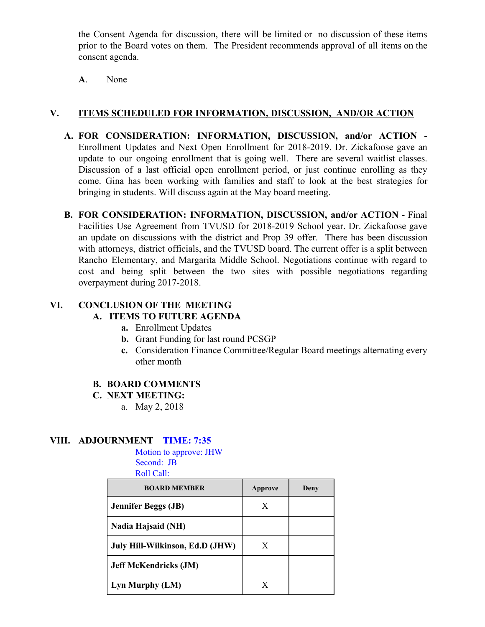the Consent Agenda for discussion, there will be limited or no discussion of these items prior to the Board votes on them. The President recommends approval of all items on the consent agenda.

**A**. None

## **V. ITEMS SCHEDULED FOR INFORMATION, DISCUSSION, AND/OR ACTION**

- **A. FOR CONSIDERATION: INFORMATION, DISCUSSION, and/or ACTION -** Enrollment Updates and Next Open Enrollment for 2018-2019. Dr. Zickafoose gave an update to our ongoing enrollment that is going well. There are several waitlist classes. Discussion of a last official open enrollment period, or just continue enrolling as they come. Gina has been working with families and staff to look at the best strategies for bringing in students. Will discuss again at the May board meeting.
- **B. FOR CONSIDERATION: INFORMATION, DISCUSSION, and/or ACTION -** Final Facilities Use Agreement from TVUSD for 2018-2019 School year. Dr. Zickafoose gave an update on discussions with the district and Prop 39 offer. There has been discussion with attorneys, district officials, and the TVUSD board. The current offer is a split between Rancho Elementary, and Margarita Middle School. Negotiations continue with regard to cost and being split between the two sites with possible negotiations regarding overpayment during 2017-2018.

## **VI. CONCLUSION OF THE MEETING**

## **A. ITEMS TO FUTURE AGENDA**

- **a.** Enrollment Updates
- **b.** Grant Funding for last round PCSGP
- **c.** Consideration Finance Committee/Regular Board meetings alternating every other month

## **B. BOARD COMMENTS**

#### **C. NEXT MEETING:**

a. May 2, 2018

## **VIII. ADJOURNMENT TIME: 7:35**

Motion to approve: JHW Second: JB Roll Call:

| <b>BOARD MEMBER</b>             | Approve | Deny |
|---------------------------------|---------|------|
| <b>Jennifer Beggs (JB)</b>      | X       |      |
| <b>Nadia Hajsaid (NH)</b>       |         |      |
| July Hill-Wilkinson, Ed.D (JHW) | X       |      |
| <b>Jeff McKendricks (JM)</b>    |         |      |
| Lyn Murphy (LM)                 | X       |      |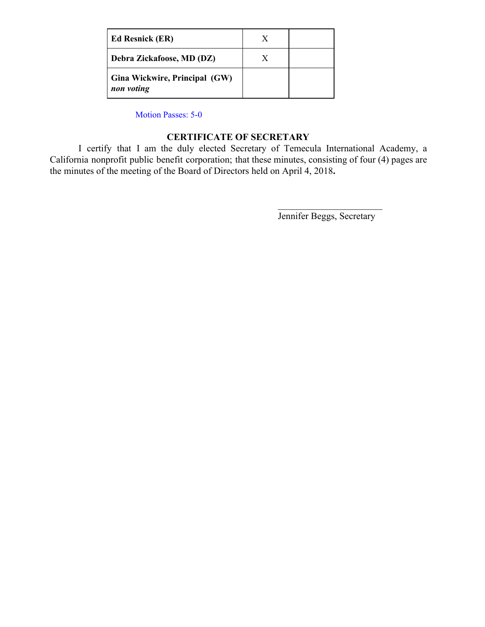| <b>Ed Resnick (ER)</b>                      |  |
|---------------------------------------------|--|
| Debra Zickafoose, MD (DZ)                   |  |
| Gina Wickwire, Principal (GW)<br>non voting |  |

Motion Passes: 5-0

## **CERTIFICATE OF SECRETARY**

I certify that I am the duly elected Secretary of Temecula International Academy, a California nonprofit public benefit corporation; that these minutes, consisting of four (4) pages are the minutes of the meeting of the Board of Directors held on April 4, 2018**.**

> $\mathcal{L}_\text{max}$  , where  $\mathcal{L}_\text{max}$  , we have the set of  $\mathcal{L}_\text{max}$ Jennifer Beggs, Secretary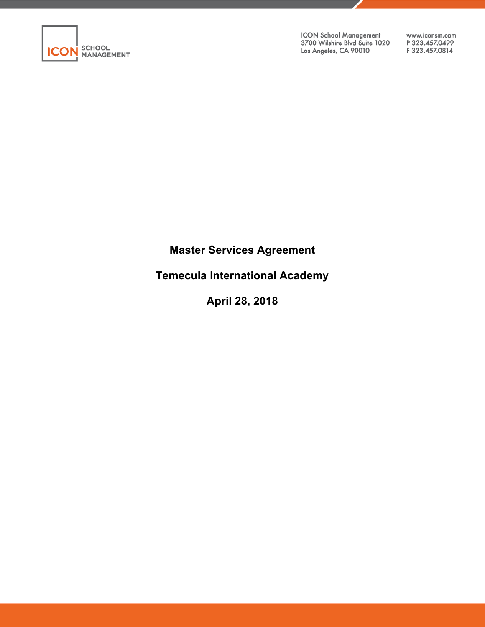

ICON School Management<br>3700 Wilshire Blvd Suite 1020 Los Angeles, CA 90010

www.iconsm.com P323.457.0499 F323.457.0814

## **Master Services Agreement**

**Temecula International Academy** 

**April 28, 2018**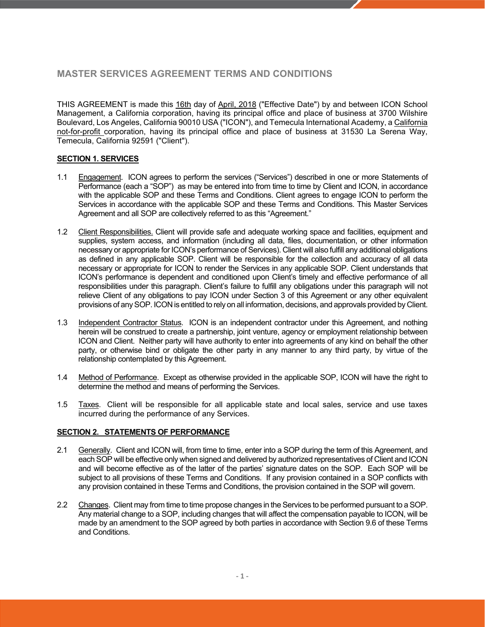## **MASTER SERVICES AGREEMENT TERMS AND CONDITIONS**

THIS AGREEMENT is made this 16th day of April, 2018 ("Effective Date") by and between ICON School Management, a California corporation, having its principal office and place of business at 3700 Wilshire Boulevard, Los Angeles, California 90010 USA ("ICON"), and Temecula International Academy, a California not-for-profit corporation, having its principal office and place of business at 31530 La Serena Way, Temecula, California 92591 ("Client").

#### **SECTION 1. SERVICES**

- 1.1 Engagement. ICON agrees to perform the services ("Services") described in one or more Statements of Performance (each a "SOP") as may be entered into from time to time by Client and ICON, in accordance with the applicable SOP and these Terms and Conditions. Client agrees to engage ICON to perform the Services in accordance with the applicable SOP and these Terms and Conditions. This Master Services Agreement and all SOP are collectively referred to as this "Agreement."
- 1.2 Client Responsibilities. Client will provide safe and adequate working space and facilities, equipment and supplies, system access, and information (including all data, files, documentation, or other information necessary or appropriate for ICON's performance of Services). Client will also fulfill any additional obligations as defined in any applicable SOP. Client will be responsible for the collection and accuracy of all data necessary or appropriate for ICON to render the Services in any applicable SOP. Client understands that ICON's performance is dependent and conditioned upon Client's timely and effective performance of all responsibilities under this paragraph. Client's failure to fulfill any obligations under this paragraph will not relieve Client of any obligations to pay ICON under Section 3 of this Agreement or any other equivalent provisions of any SOP. ICON is entitled to rely on all information, decisions, and approvals provided by Client.
- 1.3 Independent Contractor Status. ICON is an independent contractor under this Agreement, and nothing herein will be construed to create a partnership, joint venture, agency or employment relationship between ICON and Client. Neither party will have authority to enter into agreements of any kind on behalf the other party, or otherwise bind or obligate the other party in any manner to any third party, by virtue of the relationship contemplated by this Agreement.
- 1.4 Method of Performance. Except as otherwise provided in the applicable SOP, ICON will have the right to determine the method and means of performing the Services.
- 1.5 Taxes. Client will be responsible for all applicable state and local sales, service and use taxes incurred during the performance of any Services.

#### **SECTION 2. STATEMENTS OF PERFORMANCE**

- 2.1 Generally. Client and ICON will, from time to time, enter into a SOP during the term of this Agreement, and each SOP will be effective only when signed and delivered by authorized representatives of Client and ICON and will become effective as of the latter of the parties' signature dates on the SOP. Each SOP will be subject to all provisions of these Terms and Conditions. If any provision contained in a SOP conflicts with any provision contained in these Terms and Conditions, the provision contained in the SOP will govern.
- 2.2 Changes. Client may from time to time propose changes in the Services to be performed pursuant to a SOP. Any material change to a SOP, including changes that will affect the compensation payable to ICON, will be made by an amendment to the SOP agreed by both parties in accordance with Section 9.6 of these Terms and Conditions.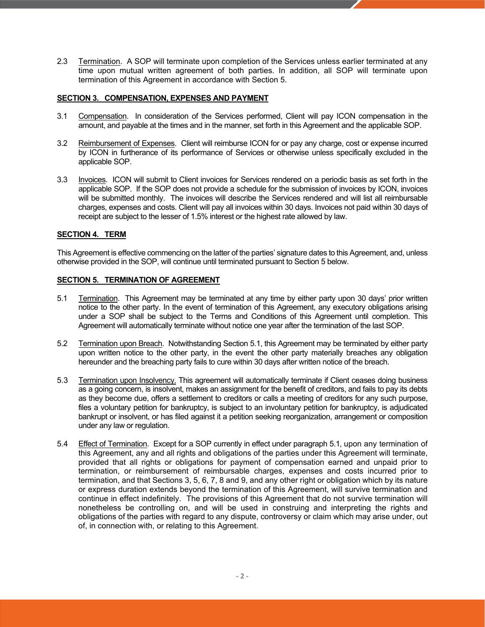2.3 Termination. A SOP will terminate upon completion of the Services unless earlier terminated at any time upon mutual written agreement of both parties. In addition, all SOP will terminate upon termination of this Agreement in accordance with Section 5.

#### **SECTION 3. COMPENSATION, EXPENSES AND PAYMENT**

- 3.1 Compensation. In consideration of the Services performed, Client will pay ICON compensation in the amount, and payable at the times and in the manner, set forth in this Agreement and the applicable SOP.
- 3.2 Reimbursement of Expenses. Client will reimburse ICON for or pay any charge, cost or expense incurred by ICON in furtherance of its performance of Services or otherwise unless specifically excluded in the applicable SOP.
- 3.3 Invoices. ICON will submit to Client invoices for Services rendered on a periodic basis as set forth in the applicable SOP. If the SOP does not provide a schedule for the submission of invoices by ICON, invoices will be submitted monthly. The invoices will describe the Services rendered and will list all reimbursable charges, expenses and costs. Client will pay all invoices within 30 days. Invoices not paid within 30 days of receipt are subject to the lesser of 1.5% interest or the highest rate allowed by law.

#### **SECTION 4. TERM**

This Agreement is effective commencing on the latter of the parties' signature dates to this Agreement, and, unless otherwise provided in the SOP, will continue until terminated pursuant to Section 5 below.

#### **SECTION 5. TERMINATION OF AGREEMENT**

- 5.1 Termination. This Agreement may be terminated at any time by either party upon 30 days' prior written notice to the other party. In the event of termination of this Agreement, any executory obligations arising under a SOP shall be subject to the Terms and Conditions of this Agreement until completion. This Agreement will automatically terminate without notice one year after the termination of the last SOP.
- 5.2 Termination upon Breach. Notwithstanding Section 5.1, this Agreement may be terminated by either party upon written notice to the other party, in the event the other party materially breaches any obligation hereunder and the breaching party fails to cure within 30 days after written notice of the breach.
- 5.3 Termination upon Insolvency. This agreement will automatically terminate if Client ceases doing business as a going concern, is insolvent, makes an assignment for the benefit of creditors, and fails to pay its debts as they become due, offers a settlement to creditors or calls a meeting of creditors for any such purpose, files a voluntary petition for bankruptcy, is subject to an involuntary petition for bankruptcy, is adjudicated bankrupt or insolvent, or has filed against it a petition seeking reorganization, arrangement or composition under any law or regulation.
- 5.4 Effect of Termination. Except for a SOP currently in effect under paragraph 5.1, upon any termination of this Agreement, any and all rights and obligations of the parties under this Agreement will terminate, provided that all rights or obligations for payment of compensation earned and unpaid prior to termination, or reimbursement of reimbursable charges, expenses and costs incurred prior to termination, and that Sections 3, 5, 6, 7, 8 and 9, and any other right or obligation which by its nature or express duration extends beyond the termination of this Agreement, will survive termination and continue in effect indefinitely. The provisions of this Agreement that do not survive termination will nonetheless be controlling on, and will be used in construing and interpreting the rights and obligations of the parties with regard to any dispute, controversy or claim which may arise under, out of, in connection with, or relating to this Agreement.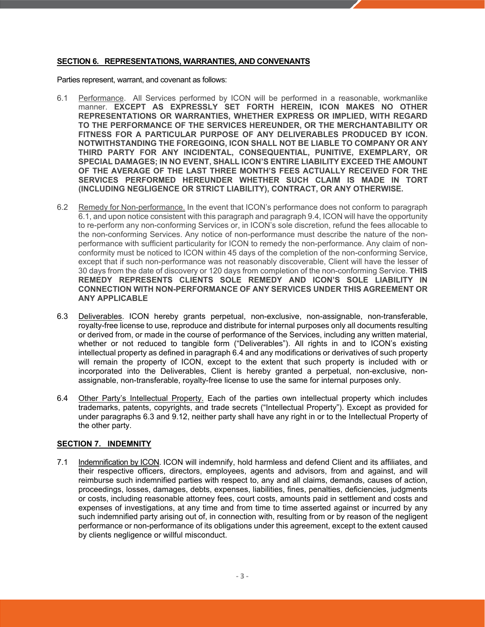#### **SECTION 6. REPRESENTATIONS, WARRANTIES, AND CONVENANTS**

Parties represent, warrant, and covenant as follows:

- 6.1 Performance. All Services performed by ICON will be performed in a reasonable, workmanlike manner. **EXCEPT AS EXPRESSLY SET FORTH HEREIN, ICON MAKES NO OTHER REPRESENTATIONS OR WARRANTIES, WHETHER EXPRESS OR IMPLIED, WITH REGARD TO THE PERFORMANCE OF THE SERVICES HEREUNDER, OR THE MERCHANTABILITY OR FITNESS FOR A PARTICULAR PURPOSE OF ANY DELIVERABLES PRODUCED BY ICON. NOTWITHSTANDING THE FOREGOING, ICON SHALL NOT BE LIABLE TO COMPANY OR ANY THIRD PARTY FOR ANY INCIDENTAL, CONSEQUENTIAL, PUNITIVE, EXEMPLARY, OR SPECIAL DAMAGES; IN NO EVENT, SHALL ICON'S ENTIRE LIABILITY EXCEED THE AMOUNT OF THE AVERAGE OF THE LAST THREE MONTH'S FEES ACTUALLY RECEIVED FOR THE SERVICES PERFORMED HEREUNDER WHETHER SUCH CLAIM IS MADE IN TORT (INCLUDING NEGLIGENCE OR STRICT LIABILITY), CONTRACT, OR ANY OTHERWISE.**
- 6.2 Remedy for Non-performance. In the event that ICON's performance does not conform to paragraph 6.1, and upon notice consistent with this paragraph and paragraph 9.4, ICON will have the opportunity to re-perform any non-conforming Services or, in ICON's sole discretion, refund the fees allocable to the non-conforming Services. Any notice of non-performance must describe the nature of the nonperformance with sufficient particularity for ICON to remedy the non-performance. Any claim of nonconformity must be noticed to ICON within 45 days of the completion of the non-conforming Service, except that if such non-performance was not reasonably discoverable, Client will have the lesser of 30 days from the date of discovery or 120 days from completion of the non-conforming Service. **THIS REMEDY REPRESENTS CLIENTS SOLE REMEDY AND ICON'S SOLE LIABILITY IN CONNECTION WITH NON-PERFORMANCE OF ANY SERVICES UNDER THIS AGREEMENT OR ANY APPLICABLE**
- 6.3 Deliverables. ICON hereby grants perpetual, non-exclusive, non-assignable, non-transferable, royalty-free license to use, reproduce and distribute for internal purposes only all documents resulting or derived from, or made in the course of performance of the Services, including any written material, whether or not reduced to tangible form ("Deliverables"). All rights in and to ICON's existing intellectual property as defined in paragraph 6.4 and any modifications or derivatives of such property will remain the property of ICON, except to the extent that such property is included with or incorporated into the Deliverables, Client is hereby granted a perpetual, non-exclusive, nonassignable, non-transferable, royalty-free license to use the same for internal purposes only.
- 6.4 Other Party's Intellectual Property. Each of the parties own intellectual property which includes trademarks, patents, copyrights, and trade secrets ("Intellectual Property"). Except as provided for under paragraphs 6.3 and 9.12, neither party shall have any right in or to the Intellectual Property of the other party.

#### **SECTION 7. INDEMNITY**

7.1 Indemnification by ICON. ICON will indemnify, hold harmless and defend Client and its affiliates, and their respective officers, directors, employees, agents and advisors, from and against, and will reimburse such indemnified parties with respect to, any and all claims, demands, causes of action, proceedings, losses, damages, debts, expenses, liabilities, fines, penalties, deficiencies, judgments or costs, including reasonable attorney fees, court costs, amounts paid in settlement and costs and expenses of investigations, at any time and from time to time asserted against or incurred by any such indemnified party arising out of, in connection with, resulting from or by reason of the negligent performance or non-performance of its obligations under this agreement, except to the extent caused by clients negligence or willful misconduct.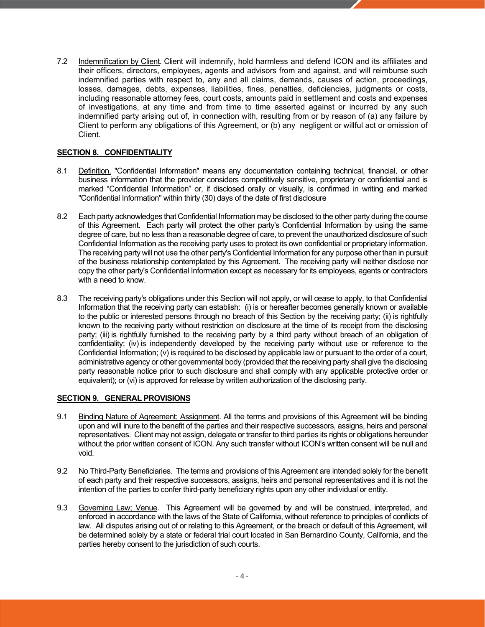7.2 Indemnification by Client. Client will indemnify, hold harmless and defend ICON and its affiliates and their officers, directors, employees, agents and advisors from and against, and will reimburse such indemnified parties with respect to, any and all claims, demands, causes of action, proceedings, losses, damages, debts, expenses, liabilities, fines, penalties, deficiencies, judgments or costs, including reasonable attorney fees, court costs, amounts paid in settlement and costs and expenses of investigations, at any time and from time to time asserted against or incurred by any such indemnified party arising out of, in connection with, resulting from or by reason of (a) any failure by Client to perform any obligations of this Agreement, or (b) any negligent or willful act or omission of Client.

#### **SECTION 8. CONFIDENTIALITY**

- 8.1 Definition. "Confidential Information" means any documentation containing technical, financial, or other business information that the provider considers competitively sensitive, proprietary or confidential and is marked "Confidential Information" or, if disclosed orally or visually, is confirmed in writing and marked "Confidential Information" within thirty (30) days of the date of first disclosure
- 8.2 Each party acknowledges that Confidential Information may be disclosed to the other party during the course of this Agreement. Each party will protect the other party's Confidential Information by using the same degree of care, but no less than a reasonable degree of care, to prevent the unauthorized disclosure of such Confidential Information as the receiving party uses to protect its own confidential or proprietary information. The receiving party will not use the other party's Confidential Information for any purpose other than in pursuit of the business relationship contemplated by this Agreement. The receiving party will neither disclose nor copy the other party's Confidential Information except as necessary for its employees, agents or contractors with a need to know.
- 8.3 The receiving party's obligations under this Section will not apply, or will cease to apply, to that Confidential Information that the receiving party can establish: (i) is or hereafter becomes generally known or available to the public or interested persons through no breach of this Section by the receiving party; (ii) is rightfully known to the receiving party without restriction on disclosure at the time of its receipt from the disclosing party; (iii) is rightfully furnished to the receiving party by a third party without breach of an obligation of confidentiality; (iv) is independently developed by the receiving party without use or reference to the Confidential Information; (v) is required to be disclosed by applicable law or pursuant to the order of a court, administrative agency or other governmental body (provided that the receiving party shall give the disclosing party reasonable notice prior to such disclosure and shall comply with any applicable protective order or equivalent); or (vi) is approved for release by written authorization of the disclosing party.

#### **SECTION 9. GENERAL PROVISIONS**

- 9.1 Binding Nature of Agreement; Assignment. All the terms and provisions of this Agreement will be binding upon and will inure to the benefit of the parties and their respective successors, assigns, heirs and personal representatives. Client may not assign, delegate or transfer to third parties its rights or obligations hereunder without the prior written consent of ICON. Any such transfer without ICON's written consent will be null and void.
- 9.2 No Third-Party Beneficiaries. The terms and provisions of this Agreement are intended solely for the benefit of each party and their respective successors, assigns, heirs and personal representatives and it is not the intention of the parties to confer third-party beneficiary rights upon any other individual or entity.
- 9.3 Governing Law; Venue. This Agreement will be governed by and will be construed, interpreted, and enforced in accordance with the laws of the State of California, without reference to principles of conflicts of law. All disputes arising out of or relating to this Agreement, or the breach or default of this Agreement, will be determined solely by a state or federal trial court located in San Bernardino County, California, and the parties hereby consent to the jurisdiction of such courts.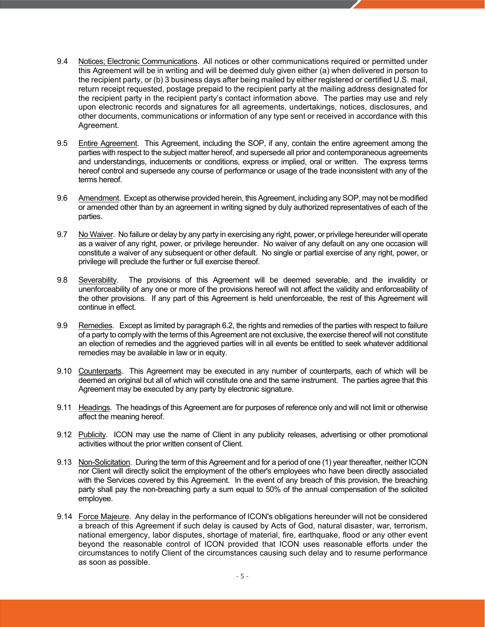- 9.4 Notices; Electronic Communications. All notices or other communications required or permitted under this Agreement will be in writing and will be deemed duly given either (a) when delivered in person to the recipient party, or (b) 3 business days after being mailed by either registered or certified U.S. mail, return receipt requested, postage prepaid to the recipient party at the mailing address designated for the recipient party in the recipient party's contact information above. The parties may use and rely upon electronic records and signatures for all agreements, undertakings, notices, disclosures, and other documents, communications or information of any type sent or received in accordance with this Agreement.
- 9.5 Entire Agreement. This Agreement, including the SOP, if any, contain the entire agreement among the parties with respect to the subject matter hereof, and supersede all prior and contemporaneous agreements and understandings, inducements or conditions, express or implied, oral or written. The express terms hereof control and supersede any course of performance or usage of the trade inconsistent with any of the terms hereof.
- 9.6 Amendment. Except as otherwise provided herein, this Agreement, including any SOP, may not be modified or amended other than by an agreement in writing signed by duly authorized representatives of each of the parties.
- 9.7 No Waiver. No failure or delay by any party in exercising any right, power, or privilege hereunder will operate as a waiver of any right, power, or privilege hereunder. No waiver of any default on any one occasion will constitute a waiver of any subsequent or other default. No single or partial exercise of any right, power, or privilege will preclude the further or full exercise thereof.
- 9.8 Severability. The provisions of this Agreement will be deemed severable, and the invalidity or unenforceability of any one or more of the provisions hereof will not affect the validity and enforceability of the other provisions. If any part of this Agreement is held unenforceable, the rest of this Agreement will continue in effect.
- 9.9 Remedies. Except as limited by paragraph 6.2, the rights and remedies of the parties with respect to failure of a party to comply with the terms of this Agreement are not exclusive, the exercise thereof will not constitute an election of remedies and the aggrieved parties will in all events be entitled to seek whatever additional remedies may be available in law or in equity.
- 9.10 Counterparts. This Agreement may be executed in any number of counterparts, each of which will be deemed an original but all of which will constitute one and the same instrument. The parties agree that this Agreement may be executed by any party by electronic signature.
- 9.11 Headings. The headings of this Agreement are for purposes of reference only and will not limit or otherwise affect the meaning hereof.
- 9.12 Publicity. ICON may use the name of Client in any publicity releases, advertising or other promotional activities without the prior written consent of Client.
- 9.13 Non-Solicitation. During the term of this Agreement and for a period of one (1) year thereafter, neither ICON nor Client will directly solicit the employment of the other's employees who have been directly associated with the Services covered by this Agreement. In the event of any breach of this provision, the breaching party shall pay the non-breaching party a sum equal to 50% of the annual compensation of the solicited employee.
- 9.14 Force Majeure. Any delay in the performance of ICON's obligations hereunder will not be considered a breach of this Agreement if such delay is caused by Acts of God, natural disaster, war, terrorism, national emergency, labor disputes, shortage of material, fire, earthquake, flood or any other event beyond the reasonable control of ICON provided that ICON uses reasonable efforts under the circumstances to notify Client of the circumstances causing such delay and to resume performance as soon as possible.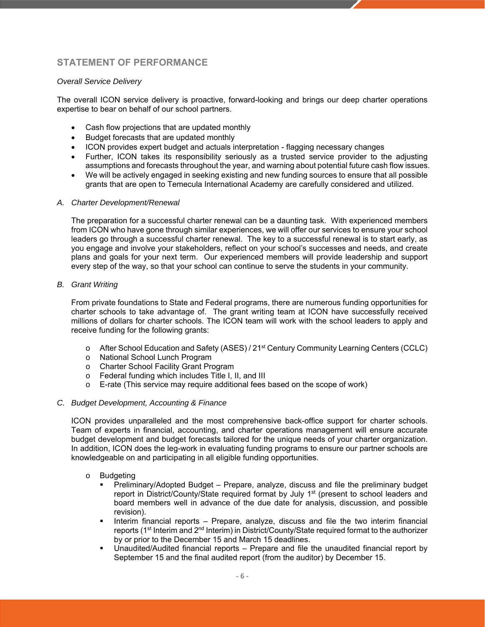## **STATEMENT OF PERFORMANCE**

#### *Overall Service Delivery*

The overall ICON service delivery is proactive, forward-looking and brings our deep charter operations expertise to bear on behalf of our school partners.

- Cash flow projections that are updated monthly
- Budget forecasts that are updated monthly
- ICON provides expert budget and actuals interpretation flagging necessary changes
- Further, ICON takes its responsibility seriously as a trusted service provider to the adjusting assumptions and forecasts throughout the year, and warning about potential future cash flow issues.
- We will be actively engaged in seeking existing and new funding sources to ensure that all possible grants that are open to Temecula International Academy are carefully considered and utilized.

#### *A. Charter Development/Renewal*

The preparation for a successful charter renewal can be a daunting task. With experienced members from ICON who have gone through similar experiences, we will offer our services to ensure your school leaders go through a successful charter renewal. The key to a successful renewal is to start early, as you engage and involve your stakeholders, reflect on your school's successes and needs, and create plans and goals for your next term. Our experienced members will provide leadership and support every step of the way, so that your school can continue to serve the students in your community.

#### *B. Grant Writing*

From private foundations to State and Federal programs, there are numerous funding opportunities for charter schools to take advantage of. The grant writing team at ICON have successfully received millions of dollars for charter schools. The ICON team will work with the school leaders to apply and receive funding for the following grants:

- o After School Education and Safety (ASES) / 21st Century Community Learning Centers (CCLC)
- o National School Lunch Program
- o Charter School Facility Grant Program
- o Federal funding which includes Title I, II, and III
- $\circ$  E-rate (This service may require additional fees based on the scope of work)

#### *C. Budget Development, Accounting & Finance*

ICON provides unparalleled and the most comprehensive back-office support for charter schools. Team of experts in financial, accounting, and charter operations management will ensure accurate budget development and budget forecasts tailored for the unique needs of your charter organization. In addition, ICON does the leg-work in evaluating funding programs to ensure our partner schools are knowledgeable on and participating in all eligible funding opportunities.

#### o Budgeting

- Preliminary/Adopted Budget Prepare, analyze, discuss and file the preliminary budget report in District/County/State required format by July  $1<sup>st</sup>$  (present to school leaders and board members well in advance of the due date for analysis, discussion, and possible revision).
- Interim financial reports Prepare, analyze, discuss and file the two interim financial reports (1<sup>st</sup> Interim and 2<sup>nd</sup> Interim) in District/County/State required format to the authorizer by or prior to the December 15 and March 15 deadlines.
- Unaudited/Audited financial reports Prepare and file the unaudited financial report by September 15 and the final audited report (from the auditor) by December 15.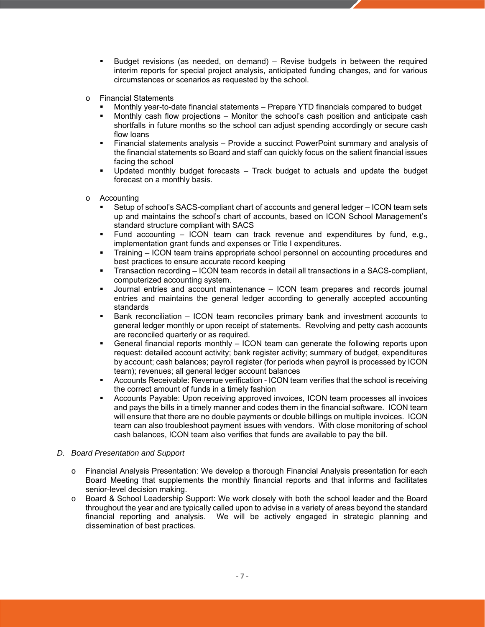- Budget revisions (as needed, on demand) Revise budgets in between the required interim reports for special project analysis, anticipated funding changes, and for various circumstances or scenarios as requested by the school.
- o Financial Statements
	- Monthly year-to-date financial statements Prepare YTD financials compared to budget
	- Monthly cash flow projections Monitor the school's cash position and anticipate cash shortfalls in future months so the school can adjust spending accordingly or secure cash flow loans
	- Financial statements analysis Provide a succinct PowerPoint summary and analysis of the financial statements so Board and staff can quickly focus on the salient financial issues facing the school
	- Updated monthly budget forecasts Track budget to actuals and update the budget forecast on a monthly basis.
- o Accounting
	- Setup of school's SACS-compliant chart of accounts and general ledger ICON team sets up and maintains the school's chart of accounts, based on ICON School Management's standard structure compliant with SACS
	- Fund accounting ICON team can track revenue and expenditures by fund, e.g., implementation grant funds and expenses or Title I expenditures.
	- Training ICON team trains appropriate school personnel on accounting procedures and best practices to ensure accurate record keeping
	- Transaction recording ICON team records in detail all transactions in a SACS-compliant, computerized accounting system.
	- Journal entries and account maintenance ICON team prepares and records journal entries and maintains the general ledger according to generally accepted accounting standards
	- Bank reconciliation ICON team reconciles primary bank and investment accounts to general ledger monthly or upon receipt of statements. Revolving and petty cash accounts are reconciled quarterly or as required.
	- General financial reports monthly ICON team can generate the following reports upon request: detailed account activity; bank register activity; summary of budget, expenditures by account; cash balances; payroll register (for periods when payroll is processed by ICON team); revenues; all general ledger account balances
	- Accounts Receivable: Revenue verification ICON team verifies that the school is receiving the correct amount of funds in a timely fashion
	- Accounts Payable: Upon receiving approved invoices, ICON team processes all invoices and pays the bills in a timely manner and codes them in the financial software. ICON team will ensure that there are no double payments or double billings on multiple invoices. ICON team can also troubleshoot payment issues with vendors. With close monitoring of school cash balances, ICON team also verifies that funds are available to pay the bill.

#### *D. Board Presentation and Support*

- o Financial Analysis Presentation: We develop a thorough Financial Analysis presentation for each Board Meeting that supplements the monthly financial reports and that informs and facilitates senior-level decision making.
- o Board & School Leadership Support: We work closely with both the school leader and the Board throughout the year and are typically called upon to advise in a variety of areas beyond the standard financial reporting and analysis. We will be actively engaged in strategic planning and dissemination of best practices.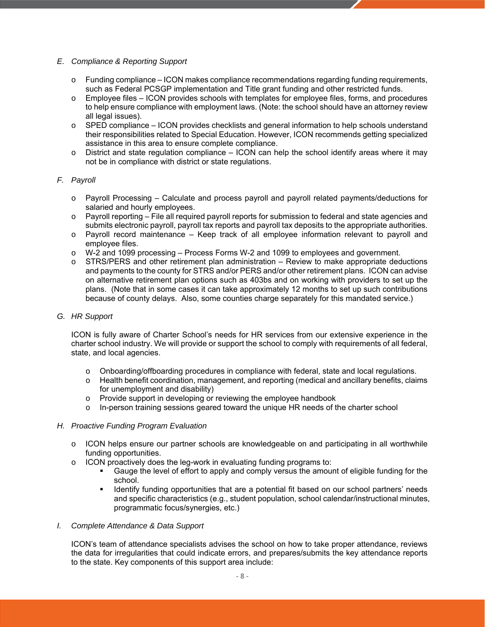#### *E. Compliance & Reporting Support*

- $\circ$  Funding compliance ICON makes compliance recommendations regarding funding requirements, such as Federal PCSGP implementation and Title grant funding and other restricted funds.
- o Employee files ICON provides schools with templates for employee files, forms, and procedures to help ensure compliance with employment laws. (Note: the school should have an attorney review all legal issues).
- $\circ$  SPED compliance ICON provides checklists and general information to help schools understand their responsibilities related to Special Education. However, ICON recommends getting specialized assistance in this area to ensure complete compliance.
- $\circ$  District and state regulation compliance ICON can help the school identify areas where it may not be in compliance with district or state regulations.

#### *F. Payroll*

- o Payroll Processing Calculate and process payroll and payroll related payments/deductions for salaried and hourly employees.
- $\circ$  Payroll reporting File all required payroll reports for submission to federal and state agencies and submits electronic payroll, payroll tax reports and payroll tax deposits to the appropriate authorities.
- o Payroll record maintenance Keep track of all employee information relevant to payroll and employee files.
- o W-2 and 1099 processing Process Forms W-2 and 1099 to employees and government.
- $\circ$  STRS/PERS and other retirement plan administration Review to make appropriate deductions and payments to the county for STRS and/or PERS and/or other retirement plans. ICON can advise on alternative retirement plan options such as 403bs and on working with providers to set up the plans. (Note that in some cases it can take approximately 12 months to set up such contributions because of county delays. Also, some counties charge separately for this mandated service.)

#### *G. HR Support*

ICON is fully aware of Charter School's needs for HR services from our extensive experience in the charter school industry. We will provide or support the school to comply with requirements of all federal, state, and local agencies.

- o Onboarding/offboarding procedures in compliance with federal, state and local regulations.
- o Health benefit coordination, management, and reporting (medical and ancillary benefits, claims for unemployment and disability)
- o Provide support in developing or reviewing the employee handbook
- $\circ$  In-person training sessions geared toward the unique HR needs of the charter school

#### *H. Proactive Funding Program Evaluation*

- o ICON helps ensure our partner schools are knowledgeable on and participating in all worthwhile funding opportunities.
- o ICON proactively does the leg-work in evaluating funding programs to:
	- Gauge the level of effort to apply and comply versus the amount of eligible funding for the school.
	- **IDENTIFY 6** Identify funding opportunities that are a potential fit based on our school partners' needs and specific characteristics (e.g., student population, school calendar/instructional minutes, programmatic focus/synergies, etc.)

#### *I. Complete Attendance & Data Support*

ICON's team of attendance specialists advises the school on how to take proper attendance, reviews the data for irregularities that could indicate errors, and prepares/submits the key attendance reports to the state. Key components of this support area include: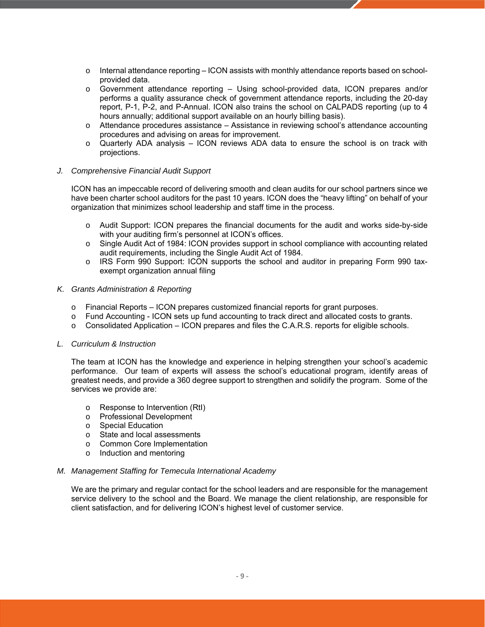- $\circ$  Internal attendance reporting ICON assists with monthly attendance reports based on schoolprovided data.
- o Government attendance reporting Using school-provided data, ICON prepares and/or performs a quality assurance check of government attendance reports, including the 20-day report, P-1, P-2, and P-Annual. ICON also trains the school on CALPADS reporting (up to 4 hours annually; additional support available on an hourly billing basis).
- o Attendance procedures assistance Assistance in reviewing school's attendance accounting procedures and advising on areas for improvement.
- o Quarterly ADA analysis ICON reviews ADA data to ensure the school is on track with projections.

#### *J. Comprehensive Financial Audit Support*

ICON has an impeccable record of delivering smooth and clean audits for our school partners since we have been charter school auditors for the past 10 years. ICON does the "heavy lifting" on behalf of your organization that minimizes school leadership and staff time in the process.

- o Audit Support: ICON prepares the financial documents for the audit and works side-by-side with your auditing firm's personnel at ICON's offices.
- o Single Audit Act of 1984: ICON provides support in school compliance with accounting related audit requirements, including the Single Audit Act of 1984.
- o IRS Form 990 Support: ICON supports the school and auditor in preparing Form 990 taxexempt organization annual filing

#### *K. Grants Administration & Reporting*

- $\circ$  Financial Reports ICON prepares customized financial reports for grant purposes.
- o Fund Accounting ICON sets up fund accounting to track direct and allocated costs to grants.
- $\circ$  Consolidated Application ICON prepares and files the C.A.R.S. reports for eligible schools.

#### *L. Curriculum & Instruction*

The team at ICON has the knowledge and experience in helping strengthen your school's academic performance. Our team of experts will assess the school's educational program, identify areas of greatest needs, and provide a 360 degree support to strengthen and solidify the program. Some of the services we provide are:

- o Response to Intervention (RtI)
- o Professional Development
- o Special Education
- o State and local assessments
- o Common Core Implementation
- o Induction and mentoring

#### *M. Management Staffing for Temecula International Academy*

We are the primary and regular contact for the school leaders and are responsible for the management service delivery to the school and the Board. We manage the client relationship, are responsible for client satisfaction, and for delivering ICON's highest level of customer service.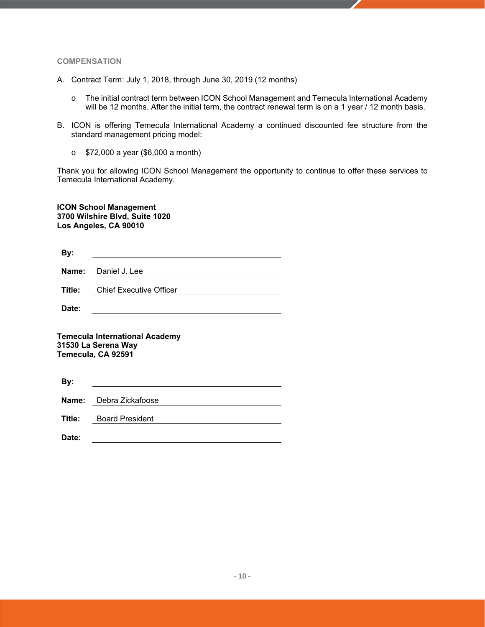#### **COMPENSATION**

- A. Contract Term: July 1, 2018, through June 30, 2019 (12 months)
	- o The initial contract term between ICON School Management and Temecula International Academy will be 12 months. After the initial term, the contract renewal term is on a 1 year / 12 month basis.
- B. ICON is offering Temecula International Academy a continued discounted fee structure from the standard management pricing model:
	- o \$72,000 a year (\$6,000 a month)

Thank you for allowing ICON School Management the opportunity to continue to offer these services to Temecula International Academy.

**ICON School Management 3700 Wilshire Blvd, Suite 1020 Los Angeles, CA 90010** 

| By:   |                                       |
|-------|---------------------------------------|
|       | <b>Name:</b> Daniel J. Lee            |
|       | <b>Title:</b> Chief Executive Officer |
| Date: |                                       |

**Temecula International Academy 31530 La Serena Way Temecula, CA 92591** 

| By:   |                               |
|-------|-------------------------------|
|       | Name: Debra Zickafoose        |
|       | <b>Title:</b> Board President |
| Date: |                               |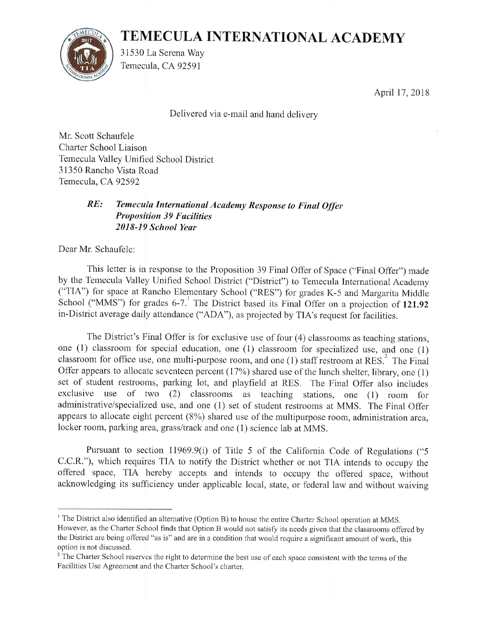# TENIECULA INTERNATIONAL ACADEMY



31530 La Serena Way Temecula, CA 92591

April 17,2018

Delivered via e-mail and hand deliverv

Mr. Scott Schaufele Charter School Liaison Temecula Valley Unified School District 31350 Rancho Vista Road Temecula, CA92592

## RE: Temecula International Academy Response to Final Offer **Proposition 39 Facilities** 2018-19 Schoai Year

Dear Mr. Schaufele:

This letter is in response to the Proposition 39 Final Offer of Space ("Final Offer") made by the Temecula Valley Unified School District ("District") to Temecula International Academy ("TIA") for space at Rancho Elementary School ("RES") for grades K-5 and Margarita Middle School ("MMS") for grades  $6-7$ .<sup>1</sup> The District based its Final Offer on a projection of 121.92 in-District average daily attendance ("ADA"), as projected by TIA's request for facilities.

The District's Final Offer is for exclusive use of four (4) classrooms as teaching stations, one (1) classroom for special education, one (1) classroom for specialized use, and one (1) classroom for office use, one multi-purpose room, and one (1) staff restroom at RES.<sup>2</sup> The Final Offer appears to allocate seventeen percent (17%) shared use of the lunch shelter, library, one (1) set of student restrooms, parking lot, and playfield at RES. The Final Offer also includes exclusive use of two (2) classrooms as teaching stations, one (1) room for administrative/specialized use, and one (1) set of student restrooms at MMS. The Final Offer appears to allocate eight percent  $(8\%)$  shared use of the multipurpose room, administration area, locker room, parking area, grass/track and one (1) science lab at MMS.

Pursuant to section 11969.9(i) of Title 5 of the California Code of Regulations ("5 C.C.R."), which requires TIA to notify the District whether or not TIA intends to occupy the offered space, TIA hereby accepts and intends to occupy the offered space, without acknowledging its sufficiency under applicable local, state, or federal law and without waiving

<sup>&</sup>lt;sup>1</sup> The District also identified an alternative (Option B) to house the entire Charter School operation at MMS. However, as the Charter School finds that Option B would not satisfy its needs given that the classrooms offered by the District are being offered "as is" and are in a condition that would require a significant amount of work, this option is not discussed.

<sup>&</sup>lt;sup>2</sup> The Charter School reserves the right to determine the best use of each space consistent with the terms of the Facilities Use Agreement and the Charter School's charter.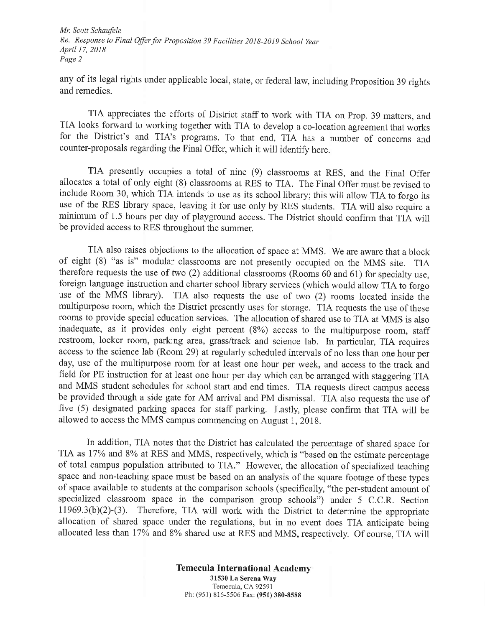Mr. Scott Schaufele Re: Response to Final Offer for Proposition 39 Facilities 2018-2019 School Year April l7,20IB Page 2

any of its legal rights under applicable local, state, or federal law, including Proposition 39 rights and remedies.

TIA appreciates the efforts of District staff to work with TIA on Prop. 39 matters, and TIA looks forward to working together with TIA to develop a co-location agreement that works for the District's and TIA's programs. To that end, TIA has a number of concerns and counter-proposals regarding the Final offer, which it will identify here.

TIA presently occupies a total of nine (9) classrooms at RES, and the Final Offer allocates a total of only eight (8) classrooms at RES to TIA. The Final Offer must be revised to include Room 30, which TIA intends to use as its school library; this will allow TIA to forgo its use of the RES library space, leaving it for use only by RES students. TIA will also require <sup>a</sup> minimum of 1.5 hours per day of playground access. The District should confirm that TIA will be provided access to RES throughout the summer.

TIA also raises objections to the allocation of space at MMS. We are aware that a block of eight (8) "as is" modular classrooms are not presently occupied on the MMS site. TIA therefore requests the use of two (2) additional classrooms (Rooms 60 and 61) for specialty use, foreign language instruction and charter school library services (which would allow TIA to forgo use of the MMS library). TIA also requests the use of two (2) rooms located inside the multipurpose room, which the District presently uses for storage. TIA requests the use of these rooms to provide special education services. The allocation of shared use to TIA at MMS is also inadequate, as it provides only eight percent (8%) access to the rnultipurpose room, staff restroom, locker room, parking area, grass/track and science lab. In particular, TIA requires access to the science lab (Room 29) at regularly scheduled intervals of no less than one hour per day, use of the multipurpose room for at least one hour per week, and access to the track and field for PE instruction for at least one hour per day which can be arranged with staggering TIA and MMS student schedules for school start and end times. TIA requests direct campus access be provided through a side gate for AM arrival and PM dismissal. TIA also requests the use of five (5) designated parking spaces for staff parking. Lastly, please confirm that TIA will be allowed to access the MMS campus commencing on August 1, 2018.

In addition, TIA notes that the District has calculated the percentage of shared space for TIA as 17% and 8% at RES and MMS, respectively, which is "based on the estimate percentage of total campus population attributed to TIA." However, the allocation of specialized teaching space and non-teaching space must be based on an analysis of the square footage of these types of space available to students at the comparison schools (specifically, "the per-student amount of specialized classroom space in the comparison group schools") under 5 C.C.R. Section 11969.3(b)(2)-(3) Therefore, TIA will work with the District to determine the appropriate allocation of shared space under the regulations, but in no event does TIA anticipate being allocated less than 17% and 8% shared use at RES and MMS, respectively. Of course, TIA will

> Temecula International Academy 31530 La Serena Way Temecula, CA 92591 Ph: (951) 816-5506 Fax: (951) 380-8588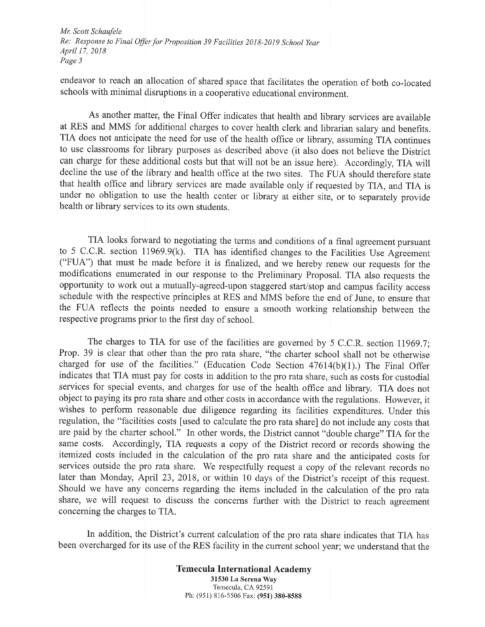Mr. Scott Schaufele Re: Response to Final Offer for Proposition 39 Facilities 2018-2019 School Year April 17,2018 Page 3

endeavor to reach an allocation of shared space that facilitates the operation of both co-located schools with minimal disruptions in a cooperative educational environment.

As another matter, the Final Offer indicates that health and library services are available at RES and MMS for additional charges to cover health clerk and librarian salary and benefits, TIA does not anticipate the need for use of the health office or library, assuming TIA continues to use classrooms for library purposes as described above (it also does not believe the District can charge for these additional costs but that will not be an issue here). Accordingly, TIA will decline the use of the library and health office at the two sites. The FUA should therefore state that health office and library services are made available only if requested by TIA, and TIA is under no obligation to use the health center or library at either site, or to separately provide health or library services to its own students.

TIA looks forward to negotiating the terms and conditions of a final agreement pursuant to 5 C.C.R. section 11969.9(k). TIA has identified changes to the Facilities Use Agreement ("FUA") that must be made before it is finalized, and we hereby renew our requests for the modifications enumerated in our response to the Preliminary Proposal. TIA also requests the opporfunity to work out a mutually-agreed-upon staggered start/stop and campus facility access schedule with the respective principles at RES and MMS before the end of June, to ensure that the FUA reflects the points needed to ensure a smooth working relationship between the respective programs prior to the first day of school.

The charges to TIA for use of the facilities are governed by  $5$  C.C.R. section 11969.7; Prop. 39 is clear that other than the pro rata share, "the charter school shall not be otherwise charged for use of the facilities." (Education Code Section  $47614(b)(1)$ .) The Final Offer indicates that TIA must pay for costs in addition to the pro rata share, such as costs for custodial services for special events, and charges for use of the health office and library. TIA does not object to paying its pro rata share and other costs in accordance with the regulations. However, it wishes to perform reasonable due diligence regarding its facilities expenditures. Under this regulation, the "facilities costs fused to calculate the pro rata share] do not include any costs that are paid by the charter school." In other words, the District cannot "double charge" TIA for the sarne costs. Accordingly, TIA requests a copy of the District record or records showing the itemized costs included in the calculation of the pro rata share and the anticipated costs for services outside the pro rata share. We respectfully request a copy of the relevant records no later than Monday, April 23, 2018, or within 10 days of the District's receipt of this request. Should we have any ooncerns regarding the items included in the calculation of the pro rata share, we will request to discuss the concerns further with the District to reach agreement concerning the charges to TIA..

ln addition, the District's current calculation of the pro rata share indicates that TIA has been overcharged for its use of the RES facility in the current school year; we understand that the

> Temecula International Academy 31530 La Serena Way Temecula, CA9259l Ph: (951) 816-5506 Fax: (951) 380-8588